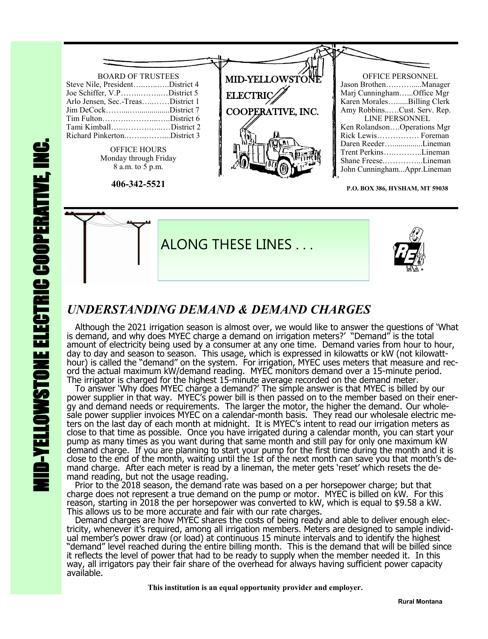

**P.O. BOX 386, HYSHAM, MT 59038**



# *UNDERSTANDING DEMAND & DEMAND CHARGES*

 Although the 2021 irrigation season is almost over, we would like to answer the questions of 'What is demand, and why does MYEC charge a demand on irrigation meters?' "Demand" is the total amount of electricity being used by a consumer at any one time. Demand varies from hour to hour, day to day and season to season. This usage, which is expressed in kilowatts or kW (not kilowatthour) is called the "demand" on the system. For irrigation, MYEC uses meters that measure and record the actual maximum kW/demand reading. MYEC monitors demand over a 15-minute period. The irrigator is charged for the highest 15-minute average recorded on the demand meter.

 To answer 'Why does MYEC charge a demand?' The simple answer is that MYEC is billed by our power supplier in that way. MYEC's power bill is then passed on to the member based on their energy and demand needs or requirements. The larger the motor, the higher the demand. Our wholesale power supplier invoices MYEC on a calendar-month basis. They read our wholesale electric meters on the last day of each month at midnight. It is MYEC's intent to read our irrigation meters as close to that time as possible. Once you have irrigated during a calendar month, you can start your pump as many times as you want during that same month and still pay for only one maximum kW demand charge. If you are planning to start your pump for the first time during the month and it is close to the end of the month, waiting until the 1st of the next month can save you that month's demand charge. After each meter is read by a lineman, the meter gets 'reset' which resets the demand reading, but not the usage reading.

 Prior to the 2018 season, the demand rate was based on a per horsepower charge; but that charge does not represent a true demand on the pump or motor. MYEC is billed on kW. For this reason, starting in 2018 the per horsepower was converted to kW, which is equal to \$9.58 a kW. This allows us to be more accurate and fair with our rate charges.

 Demand charges are how MYEC shares the costs of being ready and able to deliver enough electricity, whenever it's required, among all irrigation members. Meters are designed to sample individual member's power draw (or load) at continuous 15 minute intervals and to identify the highest "demand" level reached during the entire billing month. This is the demand that will be billed since it reflects the level of power that had to be ready to supply when the member needed it. In this way, all irrigators pay their fair share of the overhead for always having sufficient power capacity available.

 **This institution is an equal opportunity provider and employer.**